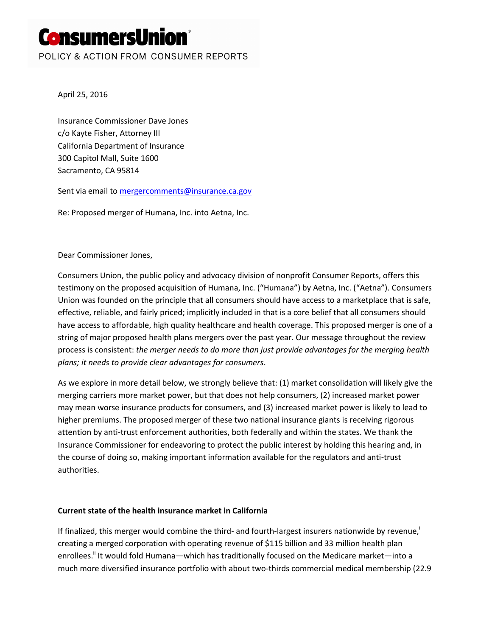# ConsumersUnion°

POLICY & ACTION FROM CONSUMER REPORTS

April 25, 2016

Insurance Commissioner Dave Jones c/o Kayte Fisher, Attorney III California Department of Insurance 300 Capitol Mall, Suite 1600 Sacramento, CA 95814

Sent via email to [mergercomments@insurance.ca.gov](mailto:mergercomments@insurance.ca.gov)

Re: Proposed merger of Humana, Inc. into Aetna, Inc.

Dear Commissioner Jones,

Consumers Union, the public policy and advocacy division of nonprofit Consumer Reports, offers this testimony on the proposed acquisition of Humana, Inc. ("Humana") by Aetna, Inc. ("Aetna"). Consumers Union was founded on the principle that all consumers should have access to a marketplace that is safe, effective, reliable, and fairly priced; implicitly included in that is a core belief that all consumers should have access to affordable, high quality healthcare and health coverage. This proposed merger is one of a string of major proposed health plans mergers over the past year. Our message throughout the review process is consistent: *the merger needs to do more than just provide advantages for the merging health plans; it needs to provide clear advantages for consumers*.

As we explore in more detail below, we strongly believe that: (1) market consolidation will likely give the merging carriers more market power, but that does not help consumers, (2) increased market power may mean worse insurance products for consumers, and (3) increased market power is likely to lead to higher premiums. The proposed merger of these two national insurance giants is receiving rigorous attention by anti-trust enforcement authorities, both federally and within the states. We thank the Insurance Commissioner for endeavoring to protect the public interest by holding this hearing and, in the course of doing so, making important information available for the regulators and anti-trust authorities.

# **Current state of the health insurance market in California**

If finalized, this merger would combine the third- and fourth-largest insurers nationwide by revenue, creating a merged corporation with operating revenue of \$115 billion and 33 million health plan enrollees.<sup>"</sup> It would fold Humana—which has traditionally focused on the Medicare market—into a much more diversified insurance portfolio with about two-thirds commercial medical membership (22.9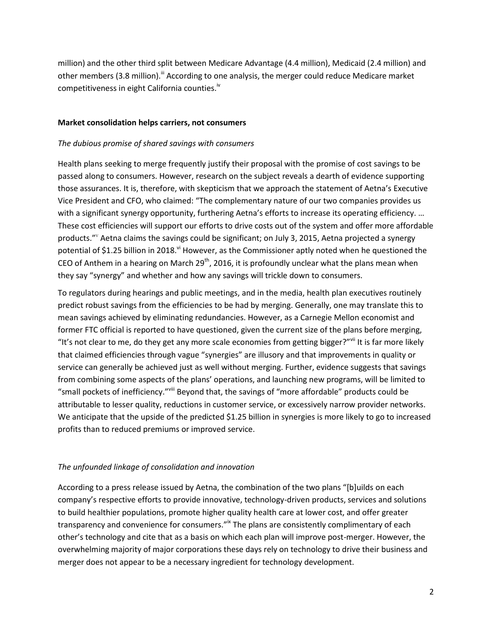million) and the other third split between Medicare Advantage (4.4 million), Medicaid (2.4 million) and other members (3.8 million).<sup>III</sup> According to one analysis, the merger could reduce Medicare market competitiveness in eight California counties.<sup>iv</sup>

#### **Market consolidation helps carriers, not consumers**

#### *The dubious promise of shared savings with consumers*

Health plans seeking to merge frequently justify their proposal with the promise of cost savings to be passed along to consumers. However, research on the subject reveals a dearth of evidence supporting those assurances. It is, therefore, with skepticism that we approach the statement of Aetna's Executive Vice President and CFO, who claimed: "The complementary nature of our two companies provides us with a significant synergy opportunity, furthering Aetna's efforts to increase its operating efficiency. ... These cost efficiencies will support our efforts to drive costs out of the system and offer more affordable products."<sup>v</sup> Aetna claims the savings could be significant; on July 3, 2015, Aetna projected a synergy potential of \$1.25 billion in 2018. $^{\prime\prime}$  However, as the Commissioner aptly noted when he questioned the CEO of Anthem in a hearing on March 29<sup>th</sup>, 2016, it is profoundly unclear what the plans mean when they say "synergy" and whether and how any savings will trickle down to consumers.

To regulators during hearings and public meetings, and in the media, health plan executives routinely predict robust savings from the efficiencies to be had by merging. Generally, one may translate this to mean savings achieved by eliminating redundancies. However, as a Carnegie Mellon economist and former FTC official is reported to have questioned, given the current size of the plans before merging, "It's not clear to me, do they get any more scale economies from getting bigger?"<sup>vii</sup> It is far more likely that claimed efficiencies through vague "synergies" are illusory and that improvements in quality or service can generally be achieved just as well without merging. Further, evidence suggests that savings from combining some aspects of the plans' operations, and launching new programs, will be limited to "small pockets of inefficiency."viii Beyond that, the savings of "more affordable" products could be attributable to lesser quality, reductions in customer service, or excessively narrow provider networks. We anticipate that the upside of the predicted \$1.25 billion in synergies is more likely to go to increased profits than to reduced premiums or improved service.

### *The unfounded linkage of consolidation and innovation*

According to a press release issued by Aetna, the combination of the two plans "[b]uilds on each company's respective efforts to provide innovative, technology-driven products, services and solutions to build healthier populations, promote higher quality health care at lower cost, and offer greater transparency and convenience for consumers."<sup>ix</sup> The plans are consistently complimentary of each other's technology and cite that as a basis on which each plan will improve post-merger. However, the overwhelming majority of major corporations these days rely on technology to drive their business and merger does not appear to be a necessary ingredient for technology development.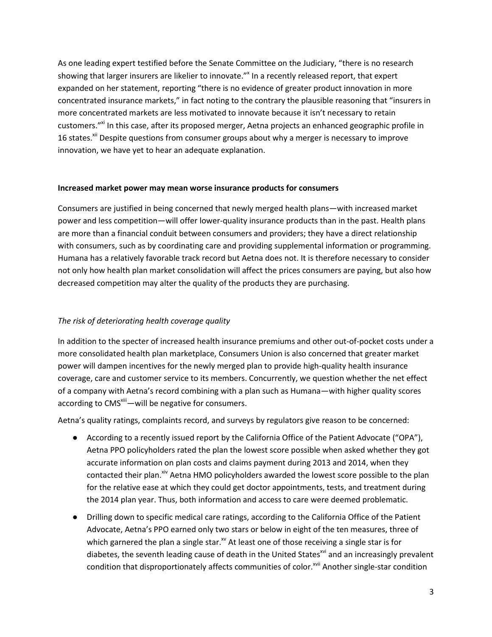As one leading expert testified before the Senate Committee on the Judiciary, "there is no research showing that larger insurers are likelier to innovate."<sup>x</sup> In a recently released report, that expert expanded on her statement, reporting "there is no evidence of greater product innovation in more concentrated insurance markets," in fact noting to the contrary the plausible reasoning that "insurers in more concentrated markets are less motivated to innovate because it isn't necessary to retain customers."<sup>xi</sup> In this case, after its proposed merger, Aetna projects an enhanced geographic profile in 16 states.<sup>xii</sup> Despite questions from consumer groups about why a merger is necessary to improve innovation, we have yet to hear an adequate explanation.

### **Increased market power may mean worse insurance products for consumers**

Consumers are justified in being concerned that newly merged health plans—with increased market power and less competition—will offer lower-quality insurance products than in the past. Health plans are more than a financial conduit between consumers and providers; they have a direct relationship with consumers, such as by coordinating care and providing supplemental information or programming. Humana has a relatively favorable track record but Aetna does not. It is therefore necessary to consider not only how health plan market consolidation will affect the prices consumers are paying, but also how decreased competition may alter the quality of the products they are purchasing.

# *The risk of deteriorating health coverage quality*

In addition to the specter of increased health insurance premiums and other out-of-pocket costs under a more consolidated health plan marketplace, Consumers Union is also concerned that greater market power will dampen incentives for the newly merged plan to provide high-quality health insurance coverage, care and customer service to its members. Concurrently, we question whether the net effect of a company with Aetna's record combining with a plan such as Humana—with higher quality scores according to CMS<sup>xiii</sup>—will be negative for consumers.

Aetna's quality ratings, complaints record, and surveys by regulators give reason to be concerned:

- According to a recently issued report by the California Office of the Patient Advocate ("OPA"), Aetna PPO policyholders rated the plan the lowest score possible when asked whether they got accurate information on plan costs and claims payment during 2013 and 2014, when they contacted their plan.<sup>xiv</sup> Aetna HMO policyholders awarded the lowest score possible to the plan for the relative ease at which they could get doctor appointments, tests, and treatment during the 2014 plan year. Thus, both information and access to care were deemed problematic.
- Drilling down to specific medical care ratings, according to the California Office of the Patient Advocate, Aetna's PPO earned only two stars or below in eight of the ten measures, three of which garnered the plan a single star. $^{x}$  At least one of those receiving a single star is for diabetes, the seventh leading cause of death in the United States<sup>xvi</sup> and an increasingly prevalent condition that disproportionately affects communities of color.<sup>xvii</sup> Another single-star condition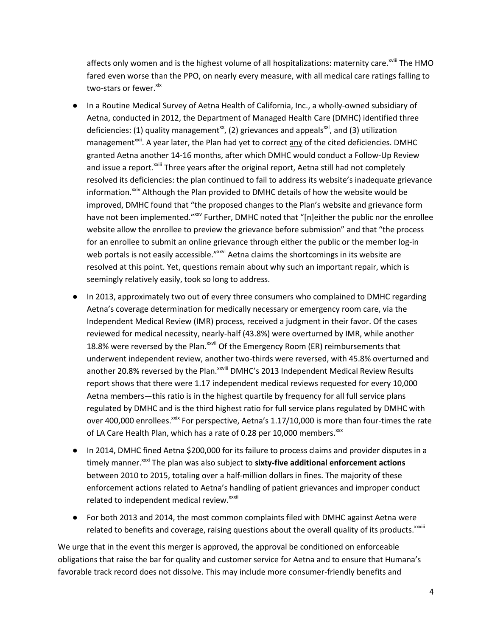affects only women and is the highest volume of all hospitalizations: maternity care.<sup>xviii</sup> The HMO fared even worse than the PPO, on nearly every measure, with all medical care ratings falling to two-stars or fewer.<sup>xix</sup>

- In a Routine Medical Survey of Aetna Health of California, Inc., a wholly-owned subsidiary of Aetna, conducted in 2012, the Department of Managed Health Care (DMHC) identified three deficiencies: (1) quality management<sup>xx</sup>, (2) grievances and appeals<sup>xxi</sup>, and (3) utilization management<sup>xxii</sup>. A year later, the Plan had yet to correct any of the cited deficiencies. DMHC granted Aetna another 14-16 months, after which DMHC would conduct a Follow-Up Review and issue a report.<sup>xxiii</sup> Three years after the original report, Aetna still had not completely resolved its deficiencies: the plan continued to fail to address its website's inadequate grievance information. $x_{x}$ <sup>xiv</sup> Although the Plan provided to DMHC details of how the website would be improved, DMHC found that "the proposed changes to the Plan's website and grievance form have not been implemented." XXV Further, DMHC noted that "[n]either the public nor the enrollee website allow the enrollee to preview the grievance before submission" and that "the process for an enrollee to submit an online grievance through either the public or the member log-in web portals is not easily accessible."<sup>xxvi</sup> Aetna claims the shortcomings in its website are resolved at this point. Yet, questions remain about why such an important repair, which is seemingly relatively easily, took so long to address.
- In 2013, approximately two out of every three consumers who complained to DMHC regarding Aetna's coverage determination for medically necessary or emergency room care, via the Independent Medical Review (IMR) process, received a judgment in their favor. Of the cases reviewed for medical necessity, nearly-half (43.8%) were overturned by IMR, while another 18.8% were reversed by the Plan.<sup>xxvii</sup> Of the Emergency Room (ER) reimbursements that underwent independent review, another two-thirds were reversed, with 45.8% overturned and another 20.8% reversed by the Plan. XXVIII DMHC's 2013 Independent Medical Review Results report shows that there were 1.17 independent medical reviews requested for every 10,000 Aetna members—this ratio is in the highest quartile by frequency for all full service plans regulated by DMHC and is the third highest ratio for full service plans regulated by DMHC with over 400,000 enrollees. $x$ ixx For perspective, Aetna's 1.17/10,000 is more than four-times the rate of LA Care Health Plan, which has a rate of 0.28 per 10,000 members. xxx
- In 2014, DMHC fined Aetna \$200,000 for its failure to process claims and provider disputes in a timely manner.<sup>xxxi</sup> The plan was also subject to sixty-five additional enforcement actions between 2010 to 2015, totaling over a half-million dollars in fines. The majority of these enforcement actions related to Aetna's handling of patient grievances and improper conduct related to independent medical review.<sup>xxxii</sup>
- For both 2013 and 2014, the most common complaints filed with DMHC against Aetna were related to benefits and coverage, raising questions about the overall quality of its products. $x^{\text{axiii}}$

We urge that in the event this merger is approved, the approval be conditioned on enforceable obligations that raise the bar for quality and customer service for Aetna and to ensure that Humana's favorable track record does not dissolve. This may include more consumer-friendly benefits and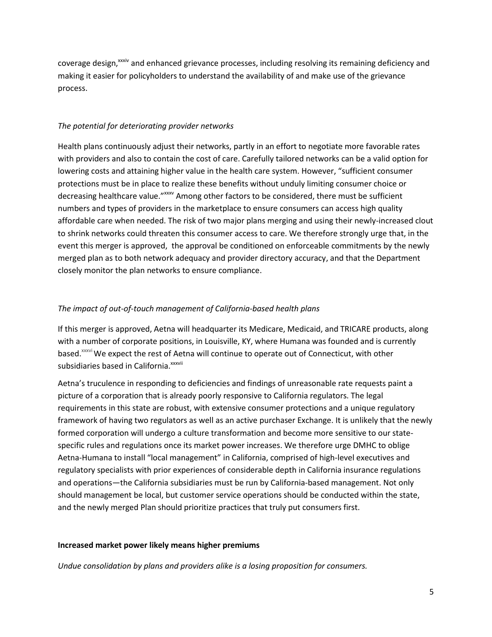coverage design,<sup>xxiv</sup> and enhanced grievance processes, including resolving its remaining deficiency and making it easier for policyholders to understand the availability of and make use of the grievance process.

## *The potential for deteriorating provider networks*

Health plans continuously adjust their networks, partly in an effort to negotiate more favorable rates with providers and also to contain the cost of care. Carefully tailored networks can be a valid option for lowering costs and attaining higher value in the health care system. However, "sufficient consumer protections must be in place to realize these benefits without unduly limiting consumer choice or decreasing healthcare value." <sup>xxxx</sup> Among other factors to be considered, there must be sufficient numbers and types of providers in the marketplace to ensure consumers can access high quality affordable care when needed. The risk of two major plans merging and using their newly-increased clout to shrink networks could threaten this consumer access to care. We therefore strongly urge that, in the event this merger is approved, the approval be conditioned on enforceable commitments by the newly merged plan as to both network adequacy and provider directory accuracy, and that the Department closely monitor the plan networks to ensure compliance.

## *The impact of out-of-touch management of California-based health plans*

If this merger is approved, Aetna will headquarter its Medicare, Medicaid, and TRICARE products, along with a number of corporate positions, in Louisville, KY, where Humana was founded and is currently based.<sup>xxxvi</sup> We expect the rest of Aetna will continue to operate out of Connecticut, with other subsidiaries based in California.<sup>xxxvii</sup>

Aetna's truculence in responding to deficiencies and findings of unreasonable rate requests paint a picture of a corporation that is already poorly responsive to California regulators. The legal requirements in this state are robust, with extensive consumer protections and a unique regulatory framework of having two regulators as well as an active purchaser Exchange. It is unlikely that the newly formed corporation will undergo a culture transformation and become more sensitive to our statespecific rules and regulations once its market power increases. We therefore urge DMHC to oblige Aetna-Humana to install "local management" in California, comprised of high-level executives and regulatory specialists with prior experiences of considerable depth in California insurance regulations and operations—the California subsidiaries must be run by California-based management. Not only should management be local, but customer service operations should be conducted within the state, and the newly merged Plan should prioritize practices that truly put consumers first.

### **Increased market power likely means higher premiums**

*Undue consolidation by plans and providers alike is a losing proposition for consumers.*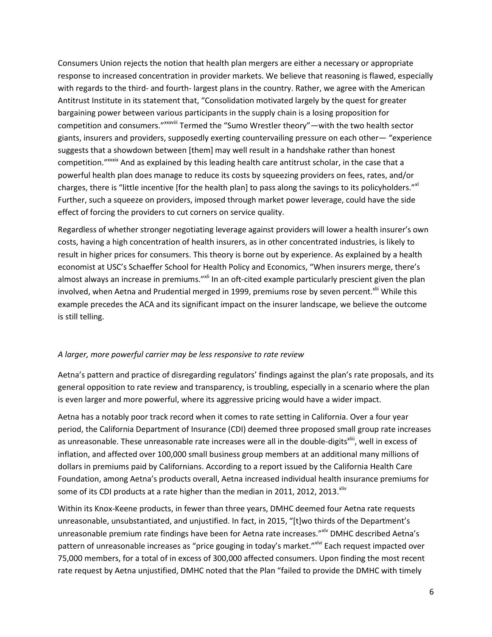Consumers Union rejects the notion that health plan mergers are either a necessary or appropriate response to increased concentration in provider markets. We believe that reasoning is flawed, especially with regards to the third- and fourth- largest plans in the country. Rather, we agree with the American Antitrust Institute in its statement that, "Consolidation motivated largely by the quest for greater bargaining power between various participants in the supply chain is a losing proposition for competition and consumers."xxxviii Termed the "Sumo Wrestler theory"—with the two health sector giants, insurers and providers, supposedly exerting countervailing pressure on each other— "experience suggests that a showdown between [them] may well result in a handshake rather than honest competition."<sup>xxxix</sup> And as explained by this leading health care antitrust scholar, in the case that a powerful health plan does manage to reduce its costs by squeezing providers on fees, rates, and/or charges, there is "little incentive [for the health plan] to pass along the savings to its policyholders."<sup>xl</sup> Further, such a squeeze on providers, imposed through market power leverage, could have the side effect of forcing the providers to cut corners on service quality.

Regardless of whether stronger negotiating leverage against providers will lower a health insurer's own costs, having a high concentration of health insurers, as in other concentrated industries, is likely to result in higher prices for consumers. This theory is borne out by experience. As explained by a health economist at USC's Schaeffer School for Health Policy and Economics, "When insurers merge, there's almost always an increase in premiums."<sup>xli</sup> In an oft-cited example particularly prescient given the plan involved, when Aetna and Prudential merged in 1999, premiums rose by seven percent.<sup>xlii</sup> While this example precedes the ACA and its significant impact on the insurer landscape, we believe the outcome is still telling.

# *A larger, more powerful carrier may be less responsive to rate review*

Aetna's pattern and practice of disregarding regulators' findings against the plan's rate proposals, and its general opposition to rate review and transparency, is troubling, especially in a scenario where the plan is even larger and more powerful, where its aggressive pricing would have a wider impact.

Aetna has a notably poor track record when it comes to rate setting in California. Over a four year period, the California Department of Insurance (CDI) deemed three proposed small group rate increases as unreasonable. These unreasonable rate increases were all in the double-digits<sup>xliii</sup>, well in excess of inflation, and affected over 100,000 small business group members at an additional many millions of dollars in premiums paid by Californians. According to a report issued by the California Health Care Foundation, among Aetna's products overall, Aetna increased individual health insurance premiums for some of its CDI products at a rate higher than the median in 2011, 2012, 2013. Xliv

Within its Knox-Keene products, in fewer than three years, DMHC deemed four Aetna rate requests unreasonable, unsubstantiated, and unjustified. In fact, in 2015, "[t]wo thirds of the Department's unreasonable premium rate findings have been for Aetna rate increases." No DMHC described Aetna's pattern of unreasonable increases as "price gouging in today's market."<sup>xlvi</sup> Each request impacted over 75,000 members, for a total of in excess of 300,000 affected consumers. Upon finding the most recent rate request by Aetna unjustified, DMHC noted that the Plan "failed to provide the DMHC with timely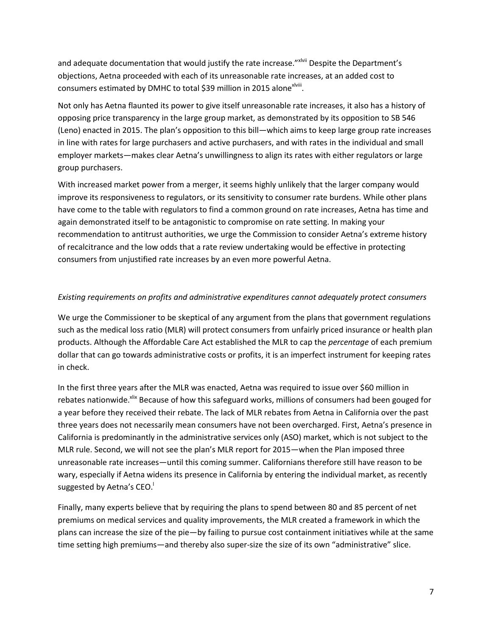and adequate documentation that would justify the rate increase." XIVIII Despite the Department's objections, Aetna proceeded with each of its unreasonable rate increases, at an added cost to consumers estimated by DMHC to total \$39 million in 2015 alone<sup>xiviii</sup>.

Not only has Aetna flaunted its power to give itself unreasonable rate increases, it also has a history of opposing price transparency in the large group market, as demonstrated by its opposition to SB 546 (Leno) enacted in 2015. The plan's opposition to this bill—which aims to keep large group rate increases in line with rates for large purchasers and active purchasers, and with rates in the individual and small employer markets—makes clear Aetna's unwillingness to align its rates with either regulators or large group purchasers.

With increased market power from a merger, it seems highly unlikely that the larger company would improve its responsiveness to regulators, or its sensitivity to consumer rate burdens. While other plans have come to the table with regulators to find a common ground on rate increases, Aetna has time and again demonstrated itself to be antagonistic to compromise on rate setting. In making your recommendation to antitrust authorities, we urge the Commission to consider Aetna's extreme history of recalcitrance and the low odds that a rate review undertaking would be effective in protecting consumers from unjustified rate increases by an even more powerful Aetna.

### *Existing requirements on profits and administrative expenditures cannot adequately protect consumers*

We urge the Commissioner to be skeptical of any argument from the plans that government regulations such as the medical loss ratio (MLR) will protect consumers from unfairly priced insurance or health plan products. Although the Affordable Care Act established the MLR to cap the *percentage* of each premium dollar that can go towards administrative costs or profits, it is an imperfect instrument for keeping rates in check.

In the first three years after the MLR was enacted, Aetna was required to issue over \$60 million in rebates nationwide.<sup>xlix</sup> Because of how this safeguard works, millions of consumers had been gouged for a year before they received their rebate. The lack of MLR rebates from Aetna in California over the past three years does not necessarily mean consumers have not been overcharged. First, Aetna's presence in California is predominantly in the administrative services only (ASO) market, which is not subject to the MLR rule. Second, we will not see the plan's MLR report for 2015—when the Plan imposed three unreasonable rate increases—until this coming summer. Californians therefore still have reason to be wary, especially if Aetna widens its presence in California by entering the individual market, as recently suggested by Aetna's CEO.

Finally, many experts believe that by requiring the plans to spend between 80 and 85 percent of net premiums on medical services and quality improvements, the MLR created a framework in which the plans can increase the size of the pie—by failing to pursue cost containment initiatives while at the same time setting high premiums—and thereby also super-size the size of its own "administrative" slice.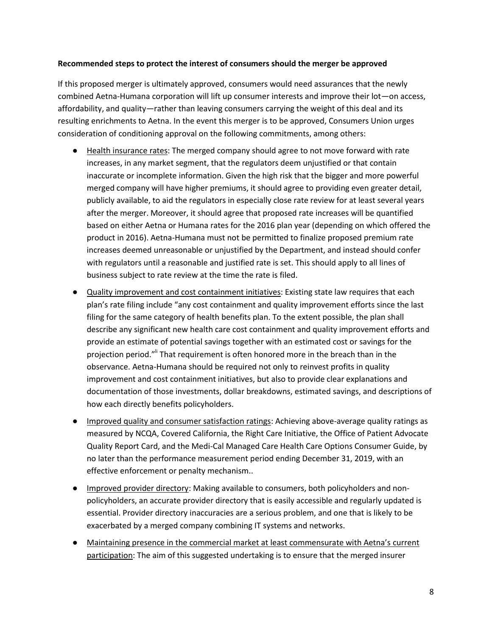#### **Recommended steps to protect the interest of consumers should the merger be approved**

If this proposed merger is ultimately approved, consumers would need assurances that the newly combined Aetna-Humana corporation will lift up consumer interests and improve their lot—on access, affordability, and quality—rather than leaving consumers carrying the weight of this deal and its resulting enrichments to Aetna. In the event this merger is to be approved, Consumers Union urges consideration of conditioning approval on the following commitments, among others:

- Health insurance rates: The merged company should agree to not move forward with rate increases, in any market segment, that the regulators deem unjustified or that contain inaccurate or incomplete information. Given the high risk that the bigger and more powerful merged company will have higher premiums, it should agree to providing even greater detail, publicly available, to aid the regulators in especially close rate review for at least several years after the merger. Moreover, it should agree that proposed rate increases will be quantified based on either Aetna or Humana rates for the 2016 plan year (depending on which offered the product in 2016). Aetna-Humana must not be permitted to finalize proposed premium rate increases deemed unreasonable or unjustified by the Department, and instead should confer with regulators until a reasonable and justified rate is set. This should apply to all lines of business subject to rate review at the time the rate is filed.
- Quality improvement and cost containment initiatives: Existing state law requires that each plan's rate filing include "any cost containment and quality improvement efforts since the last filing for the same category of health benefits plan. To the extent possible, the plan shall describe any significant new health care cost containment and quality improvement efforts and provide an estimate of potential savings together with an estimated cost or savings for the projection period."<sup>I</sup> That requirement is often honored more in the breach than in the observance. Aetna-Humana should be required not only to reinvest profits in quality improvement and cost containment initiatives, but also to provide clear explanations and documentation of those investments, dollar breakdowns, estimated savings, and descriptions of how each directly benefits policyholders.
- Improved quality and consumer satisfaction ratings: Achieving above-average quality ratings as measured by NCQA, Covered California, the Right Care Initiative, the Office of Patient Advocate Quality Report Card, and the Medi-Cal Managed Care Health Care Options Consumer Guide, by no later than the performance measurement period ending December 31, 2019, with an effective enforcement or penalty mechanism..
- Improved provider directory: Making available to consumers, both policyholders and nonpolicyholders, an accurate provider directory that is easily accessible and regularly updated is essential. Provider directory inaccuracies are a serious problem, and one that is likely to be exacerbated by a merged company combining IT systems and networks.
- Maintaining presence in the commercial market at least commensurate with Aetna's current participation: The aim of this suggested undertaking is to ensure that the merged insurer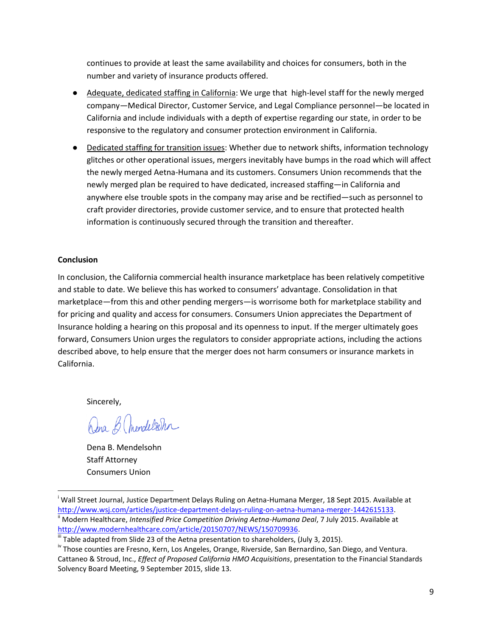continues to provide at least the same availability and choices for consumers, both in the number and variety of insurance products offered.

- Adequate, dedicated staffing in California: We urge that high-level staff for the newly merged company—Medical Director, Customer Service, and Legal Compliance personnel—be located in California and include individuals with a depth of expertise regarding our state, in order to be responsive to the regulatory and consumer protection environment in California.
- Dedicated staffing for transition issues: Whether due to network shifts, information technology glitches or other operational issues, mergers inevitably have bumps in the road which will affect the newly merged Aetna-Humana and its customers. Consumers Union recommends that the newly merged plan be required to have dedicated, increased staffing—in California and anywhere else trouble spots in the company may arise and be rectified—such as personnel to craft provider directories, provide customer service, and to ensure that protected health information is continuously secured through the transition and thereafter.

## **Conclusion**

In conclusion, the California commercial health insurance marketplace has been relatively competitive and stable to date. We believe this has worked to consumers' advantage. Consolidation in that marketplace—from this and other pending mergers—is worrisome both for marketplace stability and for pricing and quality and access for consumers. Consumers Union appreciates the Department of Insurance holding a hearing on this proposal and its openness to input. If the merger ultimately goes forward, Consumers Union urges the regulators to consider appropriate actions, including the actions described above, to help ensure that the merger does not harm consumers or insurance markets in California.

Sincerely,

l

Dena B. (mendelsohn

Dena B. Mendelsohn Staff Attorney Consumers Union

<sup>i</sup> Wall Street Journal, Justice Department Delays Ruling on Aetna-Humana Merger, 18 Sept 2015. Available at [http://www.wsj.com/articles/justice-department-delays-ruling-on-aetna-humana-merger-1442615133.](http://www.wsj.com/articles/justice-department-delays-ruling-on-aetna-humana-merger-1442615133) Modern Healthcare, *Intensified Price Competition Driving Aetna-Humana Deal*, 7 July 2015. Available at [http://www.modernhealthcare.com/article/20150707/NEWS/150709936.](http://www.modernhealthcare.com/article/20150707/NEWS/150709936)

III Table adapted from Slide 23 of the Aetna presentation to shareholders, (July 3, 2015).

<sup>&</sup>lt;sup>iv</sup> Those counties are Fresno, Kern, Los Angeles, Orange, Riverside, San Bernardino, San Diego, and Ventura. Cattaneo & Stroud, Inc., *Effect of Proposed California HMO Acquisitions*, presentation to the Financial Standards Solvency Board Meeting, 9 September 2015, slide 13.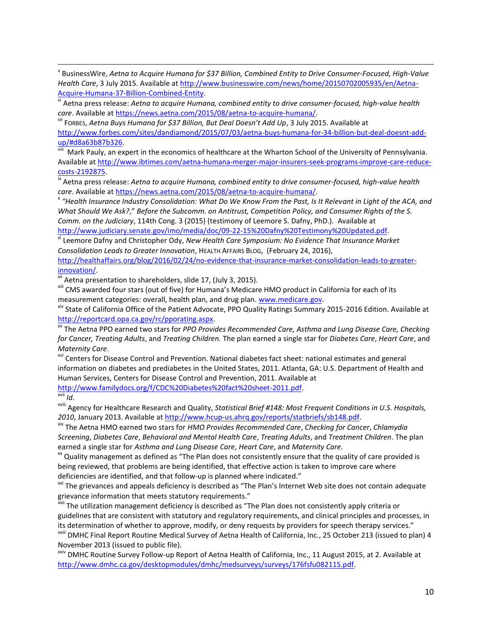v BusinessWire, *Aetna to Acquire Humana for \$37 Billion, Combined Entity to Drive Consumer-Focused, High-Value Health Care*, 3 July 2015. Available at [http://www.businesswire.com/news/home/20150702005935/en/Aetna-](http://www.businesswire.com/news/home/20150702005935/en/Aetna-Acquire-Humana-37-Billion-Combined-Entity)[Acquire-Humana-37-Billion-Combined-Entity.](http://www.businesswire.com/news/home/20150702005935/en/Aetna-Acquire-Humana-37-Billion-Combined-Entity)

vi Aetna press release: *Aetna to acquire Humana, combined entity to drive consumer-focused, high-value health care*. Available at [https://news.aetna.com/2015/08/aetna-to-acquire-humana/.](https://news.aetna.com/2015/08/aetna-to-acquire-humana/)

vii FORBES, *Aetna Buys Humana for \$37 Billion, But Deal Doesn't Add Up*, 3 July 2015. Available at [http://www.forbes.com/sites/dandiamond/2015/07/03/aetna-buys-humana-for-34-billion-but-deal-doesnt-add](http://www.forbes.com/sites/dandiamond/2015/07/03/aetna-buys-humana-for-34-billion-but-deal-doesnt-add-up/#d8a63b87b326)[up/#d8a63b87b326.](http://www.forbes.com/sites/dandiamond/2015/07/03/aetna-buys-humana-for-34-billion-but-deal-doesnt-add-up/#d8a63b87b326) 

viii [Mark Pauly,](https://hcmg.wharton.upenn.edu/profile/1518/) an expert in the economics of healthcare at the Wharton School of the University of Pennsylvania. Available a[t http://www.ibtimes.com/aetna-humana-merger-major-insurers-seek-programs-improve-care-reduce](http://www.ibtimes.com/aetna-humana-merger-major-insurers-seek-programs-improve-care-reduce-costs-2192875)[costs-2192875.](http://www.ibtimes.com/aetna-humana-merger-major-insurers-seek-programs-improve-care-reduce-costs-2192875)

<sup>ix</sup> Aetna press release: Aetna to acquire Humana, combined entity to drive consumer-focused, high-value health *care*. Available at [https://news.aetna.com/2015/08/aetna-to-acquire-humana/.](https://news.aetna.com/2015/08/aetna-to-acquire-humana/)

x *"Health Insurance Industry Consolidation: What Do We Know From the Past, Is It Relevant in Light of the ACA, and What Should We Ask?*," *Before the Subcomm. on Antitrust, Competition Policy, and Consumer Rights of the S. Comm. on the Judiciary*, 114th Cong. 3 (2015) (testimony of Leemore S. Dafny, PhD.). Available at [http://www.judiciary.senate.gov/imo/media/doc/09-22-15%20Dafny%20Testimony%20Updated.pdf.](http://www.judiciary.senate.gov/imo/media/doc/09-22-15%20Dafny%20Testimony%20Updated.pdf)

xi Leemore Dafny and Christopher Ody, *New Health Care Symposium: No Evidence That Insurance Market Consolidation Leads to Greater Innovation*, HEALTH AFFAIRS BLOG, (February 24, 2016),

[http://healthaffairs.org/blog/2016/02/24/no-evidence-that-insurance-market-consolidation-leads-to-greater](http://healthaffairs.org/blog/2016/02/24/no-evidence-that-insurance-market-consolidation-leads-to-greater-innovation/)[innovation/.](http://healthaffairs.org/blog/2016/02/24/no-evidence-that-insurance-market-consolidation-leads-to-greater-innovation/) 

xii Aetna presentation to shareholders, slide 17, (July 3, 2015).

xiii CMS awarded four stars (out of five) for Humana's Medicare HMO product in California for each of its measurement categories: overall, health plan, and drug plan. [www.medicare.gov.](http://www.medicare.gov/)

xiv State of California Office of the Patient Advocate, PPO Quality Ratings Summary 2015-2016 Edition. Available at [http://reportcard.opa.ca.gov/rc/pporating.aspx.](http://reportcard.opa.ca.gov/rc/pporating.aspx)

xv The Aetna PPO earned two stars for *PPO Provides Recommended Care, Asthma and Lung Disease Care, Checking for Cancer, Treating Adults*, and *Treating Children.* The plan earned a single star for *Diabetes Care*, *Heart Care*, and *Maternity Care*.

<sup>xvi</sup> Centers for Disease Control and Prevention. National diabetes fact sheet: national estimates and general information on diabetes and prediabetes in the United States, 2011. Atlanta, GA: U.S. Department of Health and Human Services, Centers for Disease Control and Prevention, 2011. Available at [http://www.familydocs.org/f/CDC%20Diabetes%20fact%20sheet-2011.pdf.](http://www.familydocs.org/f/CDC%20Diabetes%20fact%20sheet-2011.pdf)

 $\overline{X}$ <sup>xvii</sup> *Id*.

 $\overline{\phantom{a}}$ 

xviii Agency for Healthcare Research and Quality, *Statistical Brief #148: Most Frequent Conditions in U.S. Hospitals, 2010*, January 2013. Available at [http://www.hcup-us.ahrq.gov/reports/statbriefs/sb148.pdf.](http://www.hcup-us.ahrq.gov/reports/statbriefs/sb148.pdf)

xix The Aetna HMO earned two stars for *HMO Provides Recommended Care*, *Checking for Cancer*, *Chlamydia Screening*, *Diabetes Care*, *Behavioral and Mental Health Care*, *Treating Adults*, and *Treatment Children*. The plan earned a single star for *Asthma and Lung Disease Care*, *Heart Care*, and *Maternity Care*.

<sup>xx</sup> Quality management as defined as "The Plan does not consistently ensure that the quality of care provided is being reviewed, that problems are being identified, that effective action is taken to improve care where deficiencies are identified, and that follow-up is planned where indicated."

<sup>xxi</sup> The grievances and appeals deficiency is described as "The Plan's Internet Web site does not contain adequate grievance information that meets statutory requirements."

<sup>xxii</sup> The utilization management deficiency is described as "The Plan does not consistently apply criteria or guidelines that are consistent with statutory and regulatory requirements, and clinical principles and processes, in its determination of whether to approve, modify, or deny requests by providers for speech therapy services."

xxiii DMHC Final Report Routine Medical Survey of Aetna Health of California, Inc., 25 October 213 (issued to plan) 4 November 2013 (issued to public file).

xxiv DMHC Routine Survey Follow-up Report of Aetna Health of California, Inc., 11 August 2015, at 2. Available at [http://www.dmhc.ca.gov/desktopmodules/dmhc/medsurveys/surveys/176fsfu082115.pdf.](http://www.dmhc.ca.gov/desktopmodules/dmhc/medsurveys/surveys/176fsfu082115.pdf)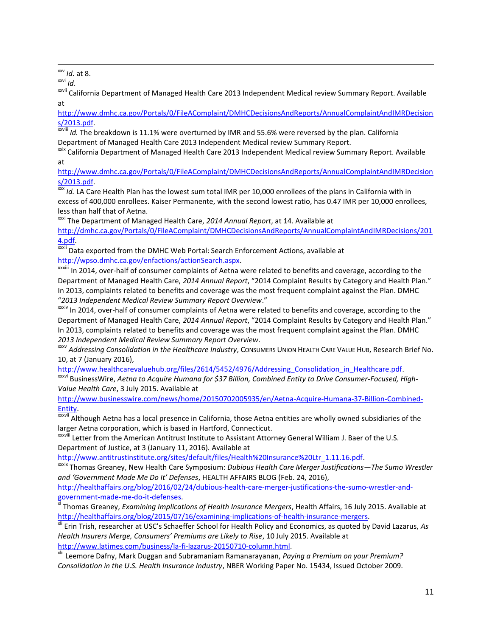$\overline{\phantom{a}}$ xxv *Id*. at 8.

xxvi *Id*.

<sup>xxvii</sup> California Department of Managed Health Care 2013 Independent Medical review Summary Report. Available at

[http://www.dmhc.ca.gov/Portals/0/FileAComplaint/DMHCDecisionsAndReports/AnnualComplaintAndIMRDecision](http://www.dmhc.ca.gov/Portals/0/FileAComplaint/DMHCDecisionsAndReports/AnnualComplaintAndIMRDecisions/2013.pdf) [s/2013.pdf.](http://www.dmhc.ca.gov/Portals/0/FileAComplaint/DMHCDecisionsAndReports/AnnualComplaintAndIMRDecisions/2013.pdf)

xxviii *Id.* The breakdown is 11.1% were overturned by IMR and 55.6% were reversed by the plan. California Department of Managed Health Care 2013 Independent Medical review Summary Report.

<sup>xxix</sup> California Department of Managed Health Care 2013 Independent Medical review Summary Report. Available at

[http://www.dmhc.ca.gov/Portals/0/FileAComplaint/DMHCDecisionsAndReports/AnnualComplaintAndIMRDecision](http://www.dmhc.ca.gov/Portals/0/FileAComplaint/DMHCDecisionsAndReports/AnnualComplaintAndIMRDecisions/2013.pdf) [s/2013.pdf.](http://www.dmhc.ca.gov/Portals/0/FileAComplaint/DMHCDecisionsAndReports/AnnualComplaintAndIMRDecisions/2013.pdf)

xxx *Id.* LA Care Health Plan has the lowest sum total IMR per 10,000 enrollees of the plans in California with in excess of 400,000 enrollees. Kaiser Permanente, with the second lowest ratio, has 0.47 IMR per 10,000 enrollees, less than half that of Aetna.

xxxi The Department of Managed Health Care, *2014 Annual Report*, at 14. Available at

[http://dmhc.ca.gov/Portals/0/FileAComplaint/DMHCDecisionsAndReports/AnnualComplaintAndIMRDecisions/201](http://dmhc.ca.gov/Portals/0/FileAComplaint/DMHCDecisionsAndReports/AnnualComplaintAndIMRDecisions/2014.pdf) [4.pdf.](http://dmhc.ca.gov/Portals/0/FileAComplaint/DMHCDecisionsAndReports/AnnualComplaintAndIMRDecisions/2014.pdf)

xxxii Data exported from the DMHC Web Portal: Search Enforcement Actions, available at [http://wpso.dmhc.ca.gov/enfactions/actionSearch.aspx.](http://wpso.dmhc.ca.gov/enfactions/actionSearch.aspx) 

xxxiii In 2014, over-half of consumer complaints of Aetna were related to benefits and coverage, according to the Department of Managed Health Care, *2014 Annual Report*, "2014 Complaint Results by Category and Health Plan." In 2013, complaints related to benefits and coverage was the most frequent complaint against the Plan. DMHC "*2013 Independent Medical Review Summary Report Overview*."

xxxiv In 2014, over-half of consumer complaints of Aetna were related to benefits and coverage, according to the Department of Managed Health Care, *2014 Annual Report*, "2014 Complaint Results by Category and Health Plan." In 2013, complaints related to benefits and coverage was the most frequent complaint against the Plan. DMHC *2013 Independent Medical Review Summary Report Overview*.

xxxv *Addressing Consolidation in the Healthcare Industry*, CONSUMERS UNION HEALTH CARE VALUE HUB, Research Brief No. 10, at 7 (January 2016),

[http://www.healthcarevaluehub.org/files/2614/5452/4976/Addressing\\_Consolidation\\_in\\_Healthcare.pdf.](http://www.healthcarevaluehub.org/files/2614/5452/4976/Addressing_Consolidation_in_Healthcare.pdf)

xxxvi BusinessWire, *Aetna to Acquire Humana for \$37 Billion, Combined Entity to Drive Consumer-Focused, High-Value Health Care*, 3 July 2015. Available at

[http://www.businesswire.com/news/home/20150702005935/en/Aetna-Acquire-Humana-37-Billion-Combined-](http://www.businesswire.com/news/home/20150702005935/en/Aetna-Acquire-Humana-37-Billion-Combined-Entity)[Entity.](http://www.businesswire.com/news/home/20150702005935/en/Aetna-Acquire-Humana-37-Billion-Combined-Entity)

**xxxvii Although Aetna has a local presence in California, those Aetna entities are wholly owned subsidiaries of the** larger Aetna corporation, which is based in Hartford, Connecticut.

xxxviii Letter from the American Antitrust Institute to Assistant Attorney General William J. Baer of the U.S. Department of Justice, at 3 (January 11, 2016). Available at

http://www.antitrustinstitute.org/sites/default/files/Health%20Insurance%20Ltr\_1.11.16.pdf.

xxxix Thomas Greaney, New Health Care Symposium: *Dubious Health Care Merger Justifications—The Sumo Wrestler and 'Government Made Me Do It' Defenses*, HEALTH AFFAIRS BLOG (Feb. 24, 2016),

http://healthaffairs.org/blog/2016/02/24/dubious-health-care-merger-justifications-the-sumo-wrestler-andgovernment-made-me-do-it-defenses.

xl Thomas Greaney, *Examining Implications of Health Insurance Mergers*, Health Affairs, 16 July 2015. Available at [http://healthaffairs.org/blog/2015/07/16/examining-implications-of-health-insurance-mergers.](http://healthaffairs.org/blog/2015/07/16/examining-implications-of-health-insurance-mergers)

xli Erin Trish, researcher at USC's Schaeffer School for Health Policy and Economics, as quoted by David Lazarus, *As Health Insurers Merge, Consumers' Premiums are Likely to Rise*, 10 July 2015. Available at [http://www.latimes.com/business/la-fi-lazarus-20150710-column.html.](http://www.latimes.com/business/la-fi-lazarus-20150710-column.html)

xlii Leemore Dafny, Mark Duggan and Subramaniam Ramanarayanan, *Paying a Premium on your Premium? Consolidation in the U.S. Health Insurance Industry*, NBER Working Paper No. 15434, Issued October 2009.